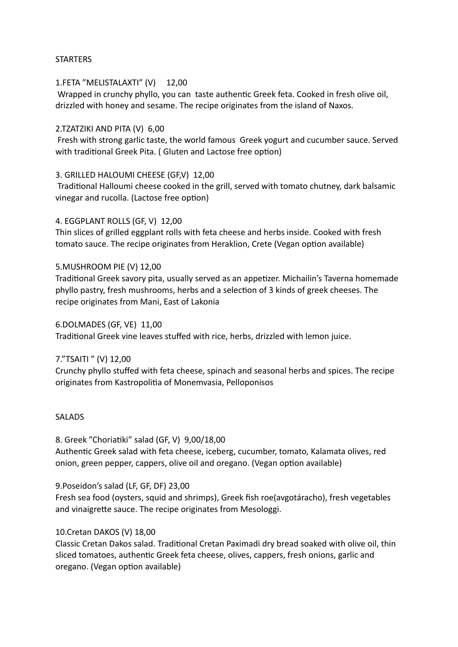## STARTERS

### 1.FETA "MELISTALAXTI" (V) 12,00

 Wrapped in crunchy phyllo, you can taste authentic Greek feta. Cooked in fresh olive oil, drizzled with honey and sesame. The recipe originates from the island of Naxos.

### 2.TZATZIKI AND PITA (V) 6,00

 Fresh with strong garlic taste, the world famous Greek yogurt and cucumber sauce. Served with traditional Greek Pita. ( Gluten and Lactose free option)

# 3. GRILLED HALOUMI CHEESE (GF,V) 12,00

 Traditional Halloumi cheese cooked in the grill, served with tomato chutney, dark balsamic vinegar and rucolla. (Lactose free option)

# 4. EGGPLANT ROLLS (GF, V) 12,00

Thin slices of grilled eggplant rolls with feta cheese and herbs inside. Cooked with fresh tomato sauce. The recipe originates from Heraklion, Crete (Vegan option available)

# 5.MUSHROOM PIE (V) 12,00

Traditional Greek savory pita, usually served as an appetizer. Michailin's Taverna homemade phyllo pastry, fresh mushrooms, herbs and a selection of 3 kinds of greek cheeses. The recipe originates from Mani, East of Lakonia

### 6.DOLMADES (GF, VE) 11,00

Traditional Greek vine leaves stuffed with rice, herbs, drizzled with lemon juice.

### 7."TSAITI " (V) 12,00

Crunchy phyllo stuffed with feta cheese, spinach and seasonal herbs and spices. The recipe originates from Kastropolitia of Monemvasia, Pelloponisos

### SALADS

8. Greek "Choriatiki" salad (GF, V) 9,00/18,00

Authentic Greek salad with feta cheese, iceberg, cucumber, tomato, Kalamata olives, red onion, green pepper, cappers, olive oil and oregano. (Vegan option available)

### 9.Poseidon's salad (LF, GF, DF) 23,00

Fresh sea food (oysters, squid and shrimps), Greek fish roe(avgotáracho), fresh vegetables and vinaigrette sauce. The recipe originates from Mesologgi.

### 10.Cretan DAKOS (V) 18,00

Classic Cretan Dakos salad. Traditional Cretan Paximadi dry bread soaked with olive oil, thin sliced tomatoes, authentic Greek feta cheese, olives, cappers, fresh onions, garlic and oregano. (Vegan option available)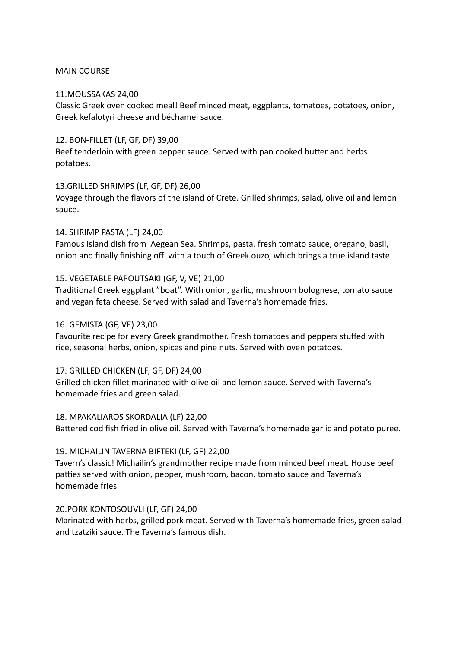### MAIN COURSE

### 11.MOUSSAKAS 24,00

Classic Greek oven cooked meal! Beef minced meat, eggplants, tomatoes, potatoes, onion, Greek kefalotyri cheese and béchamel sauce.

### 12. BON-FILLET (LF, GF, DF) 39,00

Beef tenderloin with green pepper sauce. Served with pan cooked butter and herbs potatoes.

#### 13.GRILLED SHRIMPS (LF, GF, DF) 26,00

Voyage through the flavors of the island of Crete. Grilled shrimps, salad, olive oil and lemon sauce.

#### 14. SHRIMP PASTA (LF) 24,00

Famous island dish from Aegean Sea. Shrimps, pasta, fresh tomato sauce, oregano, basil, onion and finally finishing off with a touch of Greek ouzo, which brings a true island taste.

### 15. VEGETABLE PAPOUTSAKI (GF, V, VE) 21,00

Traditional Greek eggplant "boat". With onion, garlic, mushroom bolognese, tomato sauce and vegan feta cheese. Served with salad and Taverna's homemade fries.

### 16. GEMISTA (GF, VE) 23,00

Favourite recipe for every Greek grandmother. Fresh tomatoes and peppers stuffed with rice, seasonal herbs, onion, spices and pine nuts. Served with oven potatoes.

### 17. GRILLED CHICKEN (LF, GF, DF) 24,00

Grilled chicken fillet marinated with olive oil and lemon sauce. Served with Taverna's homemade fries and green salad.

#### 18. MPAKALIAROS SKORDALIA (LF) 22,00

Battered cod fish fried in olive oil. Served with Taverna's homemade garlic and potato puree.

### 19. MICHAILIN TAVERNA BIFTEKI (LF, GF) 22,00

Tavern's classic! Michailin's grandmother recipe made from minced beef meat. House beef patties served with onion, pepper, mushroom, bacon, tomato sauce and Taverna's homemade fries.

### 20.PORK KONTOSOUVLI (LF, GF) 24,00

Marinated with herbs, grilled pork meat. Served with Taverna's homemade fries, green salad and tzatziki sauce. The Taverna's famous dish.